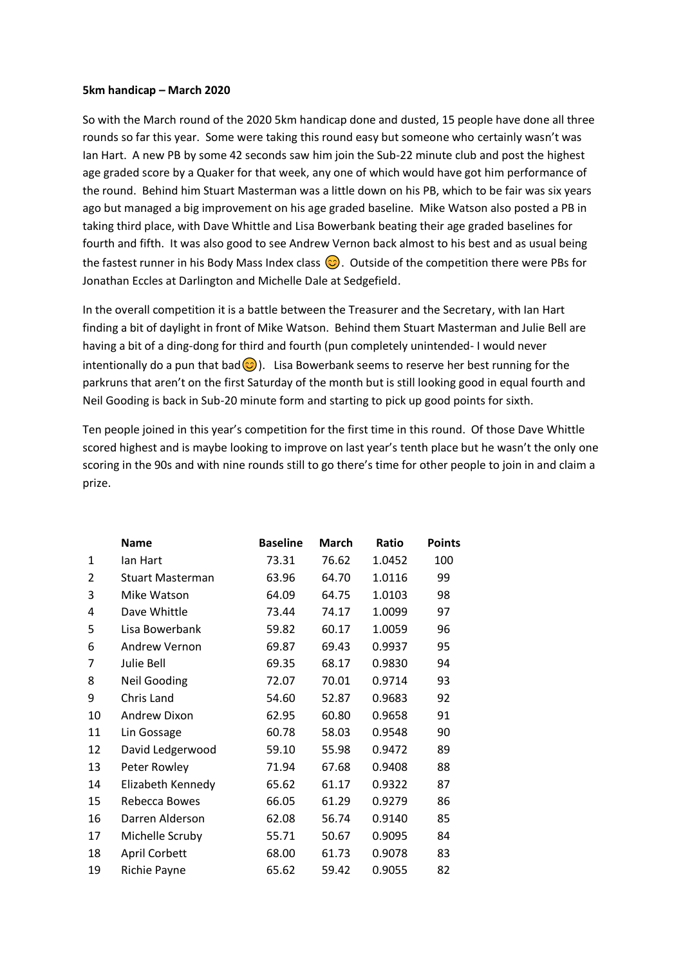## **5km handicap – March 2020**

So with the March round of the 2020 5km handicap done and dusted, 15 people have done all three rounds so far this year. Some were taking this round easy but someone who certainly wasn't was Ian Hart. A new PB by some 42 seconds saw him join the Sub-22 minute club and post the highest age graded score by a Quaker for that week, any one of which would have got him performance of the round. Behind him Stuart Masterman was a little down on his PB, which to be fair was six years ago but managed a big improvement on his age graded baseline. Mike Watson also posted a PB in taking third place, with Dave Whittle and Lisa Bowerbank beating their age graded baselines for fourth and fifth. It was also good to see Andrew Vernon back almost to his best and as usual being the fastest runner in his Body Mass Index class  $\bigcirc$ . Outside of the competition there were PBs for Jonathan Eccles at Darlington and Michelle Dale at Sedgefield.

In the overall competition it is a battle between the Treasurer and the Secretary, with Ian Hart finding a bit of daylight in front of Mike Watson. Behind them Stuart Masterman and Julie Bell are having a bit of a ding-dong for third and fourth (pun completely unintended- I would never intentionally do a pun that bad  $\odot$ ). Lisa Bowerbank seems to reserve her best running for the parkruns that aren't on the first Saturday of the month but is still looking good in equal fourth and Neil Gooding is back in Sub-20 minute form and starting to pick up good points for sixth.

Ten people joined in this year's competition for the first time in this round. Of those Dave Whittle scored highest and is maybe looking to improve on last year's tenth place but he wasn't the only one scoring in the 90s and with nine rounds still to go there's time for other people to join in and claim a prize.

|                | <b>Name</b>             | <b>Baseline</b> | <b>March</b> | Ratio  | <b>Points</b> |
|----------------|-------------------------|-----------------|--------------|--------|---------------|
| 1              | lan Hart                | 73.31           | 76.62        | 1.0452 | 100           |
| $\overline{2}$ | <b>Stuart Masterman</b> | 63.96           | 64.70        | 1.0116 | 99            |
| 3              | Mike Watson             | 64.09           | 64.75        | 1.0103 | 98            |
| 4              | Dave Whittle            | 73.44           | 74.17        | 1.0099 | 97            |
| 5              | Lisa Bowerbank          | 59.82           | 60.17        | 1.0059 | 96            |
| 6              | <b>Andrew Vernon</b>    | 69.87           | 69.43        | 0.9937 | 95            |
| 7              | Julie Bell              | 69.35           | 68.17        | 0.9830 | 94            |
| 8              | <b>Neil Gooding</b>     | 72.07           | 70.01        | 0.9714 | 93            |
| 9              | Chris Land              | 54.60           | 52.87        | 0.9683 | 92            |
| 10             | Andrew Dixon            | 62.95           | 60.80        | 0.9658 | 91            |
| 11             | Lin Gossage             | 60.78           | 58.03        | 0.9548 | 90            |
| 12             | David Ledgerwood        | 59.10           | 55.98        | 0.9472 | 89            |
| 13             | Peter Rowley            | 71.94           | 67.68        | 0.9408 | 88            |
| 14             | Elizabeth Kennedy       | 65.62           | 61.17        | 0.9322 | 87            |
| 15             | Rebecca Bowes           | 66.05           | 61.29        | 0.9279 | 86            |
| 16             | Darren Alderson         | 62.08           | 56.74        | 0.9140 | 85            |
| 17             | Michelle Scruby         | 55.71           | 50.67        | 0.9095 | 84            |
| 18             | April Corbett           | 68.00           | 61.73        | 0.9078 | 83            |
| 19             | Richie Payne            | 65.62           | 59.42        | 0.9055 | 82            |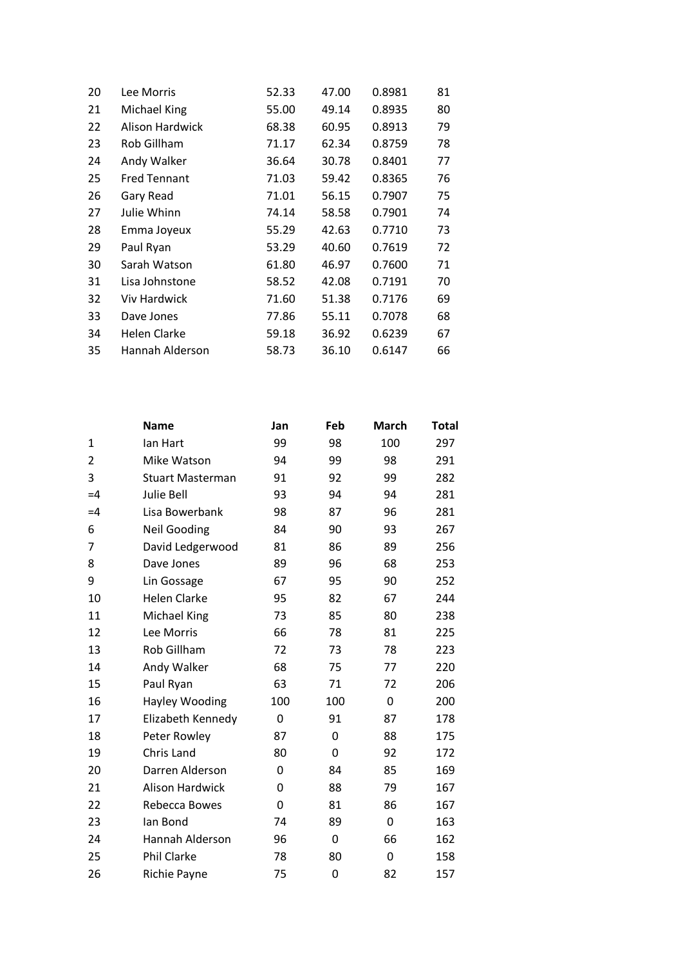| 20 | Lee Morris          | 52.33 | 47.00 | 0.8981 | 81 |
|----|---------------------|-------|-------|--------|----|
| 21 | Michael King        | 55.00 | 49.14 | 0.8935 | 80 |
| 22 | Alison Hardwick     | 68.38 | 60.95 | 0.8913 | 79 |
| 23 | Rob Gillham         | 71.17 | 62.34 | 0.8759 | 78 |
| 24 | Andy Walker         | 36.64 | 30.78 | 0.8401 | 77 |
| 25 | <b>Fred Tennant</b> | 71.03 | 59.42 | 0.8365 | 76 |
| 26 | Gary Read           | 71.01 | 56.15 | 0.7907 | 75 |
| 27 | Julie Whinn         | 74.14 | 58.58 | 0.7901 | 74 |
| 28 | Emma Joyeux         | 55.29 | 42.63 | 0.7710 | 73 |
| 29 | Paul Ryan           | 53.29 | 40.60 | 0.7619 | 72 |
| 30 | Sarah Watson        | 61.80 | 46.97 | 0.7600 | 71 |
| 31 | Lisa Johnstone      | 58.52 | 42.08 | 0.7191 | 70 |
| 32 | <b>Viv Hardwick</b> | 71.60 | 51.38 | 0.7176 | 69 |
| 33 | Dave Jones          | 77.86 | 55.11 | 0.7078 | 68 |
| 34 | Helen Clarke        | 59.18 | 36.92 | 0.6239 | 67 |
| 35 | Hannah Alderson     | 58.73 | 36.10 | 0.6147 | 66 |
|    |                     |       |       |        |    |

|                | <b>Name</b>             | Jan | Feb      | <b>March</b> | <b>Total</b> |
|----------------|-------------------------|-----|----------|--------------|--------------|
| 1              | lan Hart                | 99  | 98       | 100          | 297          |
| $\overline{2}$ | Mike Watson             | 94  | 99       | 98           | 291          |
| 3              | <b>Stuart Masterman</b> | 91  | 92       | 99           | 282          |
| $=4$           | <b>Julie Bell</b>       | 93  | 94       | 94           | 281          |
| $=4$           | Lisa Bowerbank          | 98  | 87       | 96           | 281          |
| 6              | <b>Neil Gooding</b>     | 84  | 90       | 93           | 267          |
| 7              | David Ledgerwood        | 81  | 86       | 89           | 256          |
| 8              | Dave Jones              | 89  | 96       | 68           | 253          |
| 9              | Lin Gossage             | 67  | 95       | 90           | 252          |
| 10             | Helen Clarke            | 95  | 82       | 67           | 244          |
| 11             | Michael King            | 73  | 85       | 80           | 238          |
| 12             | Lee Morris              | 66  | 78       | 81           | 225          |
| 13             | Rob Gillham             | 72  | 73       | 78           | 223          |
| 14             | Andy Walker             | 68  | 75       | 77           | 220          |
| 15             | Paul Ryan               | 63  | 71       | 72           | 206          |
| 16             | Hayley Wooding          | 100 | 100      | 0            | 200          |
| 17             | Elizabeth Kennedy       | 0   | 91       | 87           | 178          |
| 18             | Peter Rowley            | 87  | 0        | 88           | 175          |
| 19             | Chris Land              | 80  | $\Omega$ | 92           | 172          |
| 20             | Darren Alderson         | 0   | 84       | 85           | 169          |
| 21             | <b>Alison Hardwick</b>  | 0   | 88       | 79           | 167          |
| 22             | Rebecca Bowes           | 0   | 81       | 86           | 167          |
| 23             | lan Bond                | 74  | 89       | 0            | 163          |
| 24             | Hannah Alderson         | 96  | 0        | 66           | 162          |
| 25             | Phil Clarke             | 78  | 80       | 0            | 158          |
| 26             | Richie Payne            | 75  | 0        | 82           | 157          |